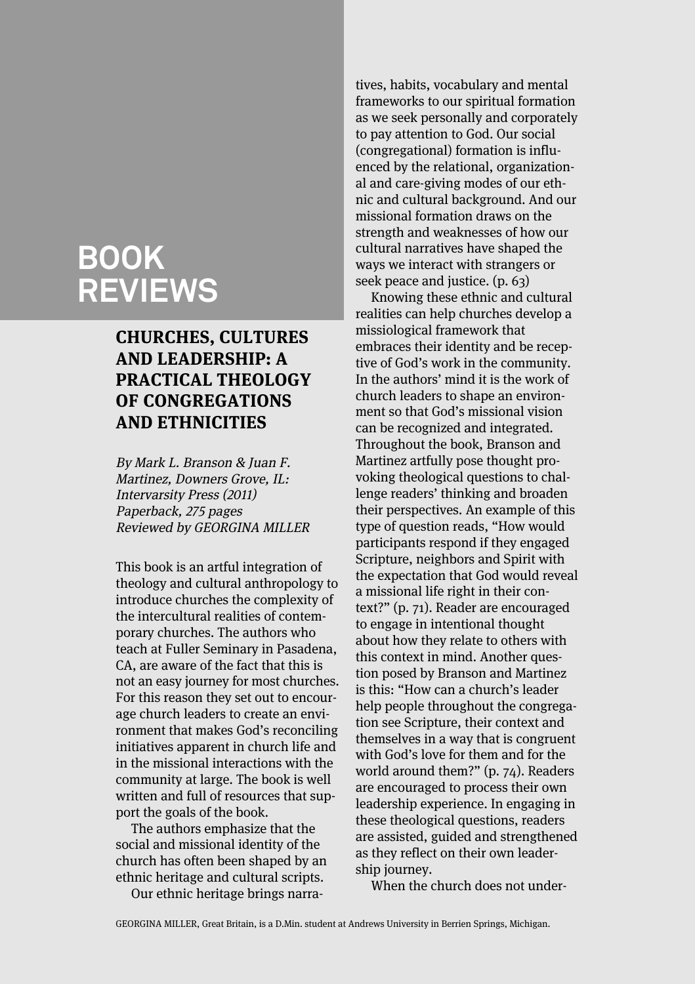# **BOOK REVIEWS**

# **CHURCHES, CULTURES AND LEADERSHIP: A PRACTICAL THEOLOGY OF CONGREGATIONS AND ETHNICITIES**

By Mark L. Branson & Juan F. Martinez, Downers Grove, IL: Intervarsity Press (2011) Paperback, 275 pages Reviewed by GEORGINA MILLER

This book is an artful integration of theology and cultural anthropology to introduce churches the complexity of the intercultural realities of contemporary churches. The authors who teach at Fuller Seminary in Pasadena, CA, are aware of the fact that this is not an easy journey for most churches. For this reason they set out to encourage church leaders to create an environment that makes God's reconciling initiatives apparent in church life and in the missional interactions with the community at large. The book is well written and full of resources that support the goals of the book.

The authors emphasize that the social and missional identity of the church has often been shaped by an ethnic heritage and cultural scripts.

Our ethnic heritage brings narra-

tives, habits, vocabulary and mental frameworks to our spiritual formation as we seek personally and corporately to pay attention to God. Our social (congregational) formation is influenced by the relational, organizational and care-giving modes of our ethnic and cultural background. And our missional formation draws on the strength and weaknesses of how our cultural narratives have shaped the ways we interact with strangers or seek peace and justice. (p. 63)

Knowing these ethnic and cultural realities can help churches develop a missiological framework that embraces their identity and be receptive of God's work in the community. In the authors' mind it is the work of church leaders to shape an environment so that God's missional vision can be recognized and integrated. Throughout the book, Branson and Martinez artfully pose thought provoking theological questions to challenge readers' thinking and broaden their perspectives. An example of this type of question reads, "How would participants respond if they engaged Scripture, neighbors and Spirit with the expectation that God would reveal a missional life right in their context?" (p. 71). Reader are encouraged to engage in intentional thought about how they relate to others with this context in mind. Another question posed by Branson and Martinez is this: "How can a church's leader help people throughout the congregation see Scripture, their context and themselves in a way that is congruent with God's love for them and for the world around them?" (p. 74). Readers are encouraged to process their own leadership experience. In engaging in these theological questions, readers are assisted, guided and strengthened as they reflect on their own leadership journey.

When the church does not under-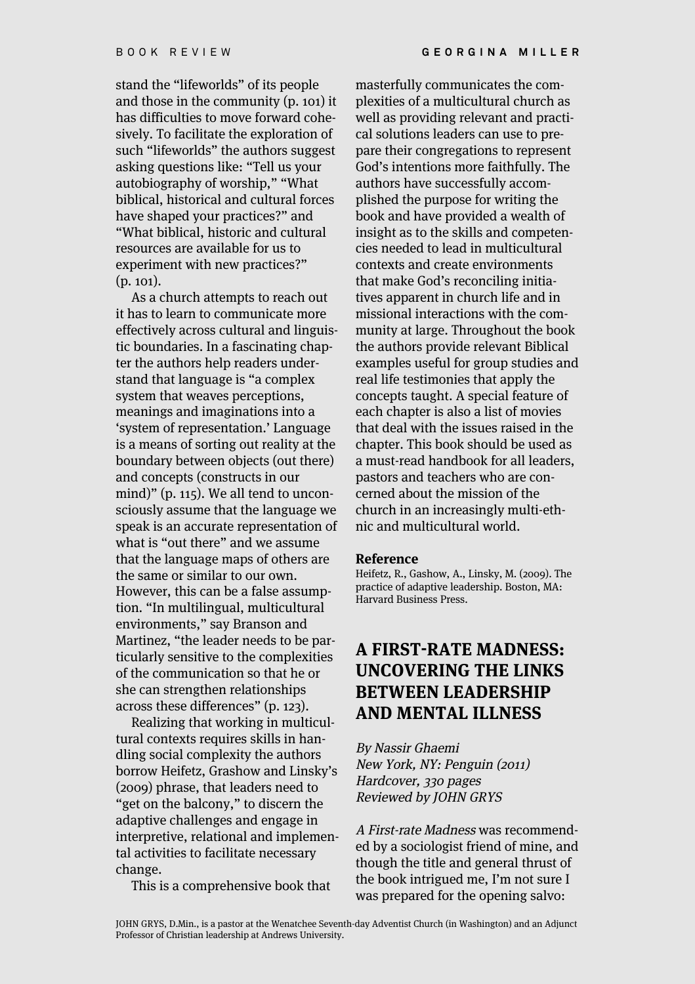stand the "lifeworlds" of its people and those in the community (p. 101) it has difficulties to move forward cohesively. To facilitate the exploration of such "lifeworlds" the authors suggest asking questions like: "Tell us your autobiography of worship," "What biblical, historical and cultural forces have shaped your practices?" and "What biblical, historic and cultural resources are available for us to experiment with new practices?" (p. 101).

As a church attempts to reach out it has to learn to communicate more effectively across cultural and linguistic boundaries. In a fascinating chapter the authors help readers understand that language is "a complex system that weaves perceptions, meanings and imaginations into a 'system of representation.' Language is a means of sorting out reality at the boundary between objects (out there) and concepts (constructs in our mind)" (p. 115). We all tend to unconsciously assume that the language we speak is an accurate representation of what is "out there" and we assume that the language maps of others are the same or similar to our own. However, this can be a false assumption. "In multilingual, multicultural environments," say Branson and Martinez, "the leader needs to be particularly sensitive to the complexities of the communication so that he or she can strengthen relationships across these differences" (p. 123).

Realizing that working in multicultural contexts requires skills in handling social complexity the authors borrow Heifetz, Grashow and Linsky's (2009) phrase, that leaders need to "get on the balcony," to discern the adaptive challenges and engage in interpretive, relational and implemental activities to facilitate necessary change.

This is a comprehensive book that

masterfully communicates the complexities of a multicultural church as well as providing relevant and practical solutions leaders can use to prepare their congregations to represent God's intentions more faithfully. The authors have successfully accomplished the purpose for writing the book and have provided a wealth of insight as to the skills and competencies needed to lead in multicultural contexts and create environments that make God's reconciling initiatives apparent in church life and in missional interactions with the community at large. Throughout the book the authors provide relevant Biblical examples useful for group studies and real life testimonies that apply the concepts taught. A special feature of each chapter is also a list of movies that deal with the issues raised in the chapter. This book should be used as a must-read handbook for all leaders, pastors and teachers who are concerned about the mission of the church in an increasingly multi-ethnic and multicultural world.

#### **Reference**

Heifetz, R., Gashow, A., Linsky, M. (2009). The practice of adaptive leadership. Boston, MA: Harvard Business Press.

### **A FIRST-RATE MADNESS: UNCOVERING THE LINKS BETWEEN LEADERSHIP AND MENTAL ILLNESS**

By Nassir Ghaemi New York, NY: Penguin (2011) Hardcover, 330 pages Reviewed by JOHN GRYS

A First-rate Madness was recommended by a sociologist friend of mine, and though the title and general thrust of the book intrigued me, I'm not sure I was prepared for the opening salvo: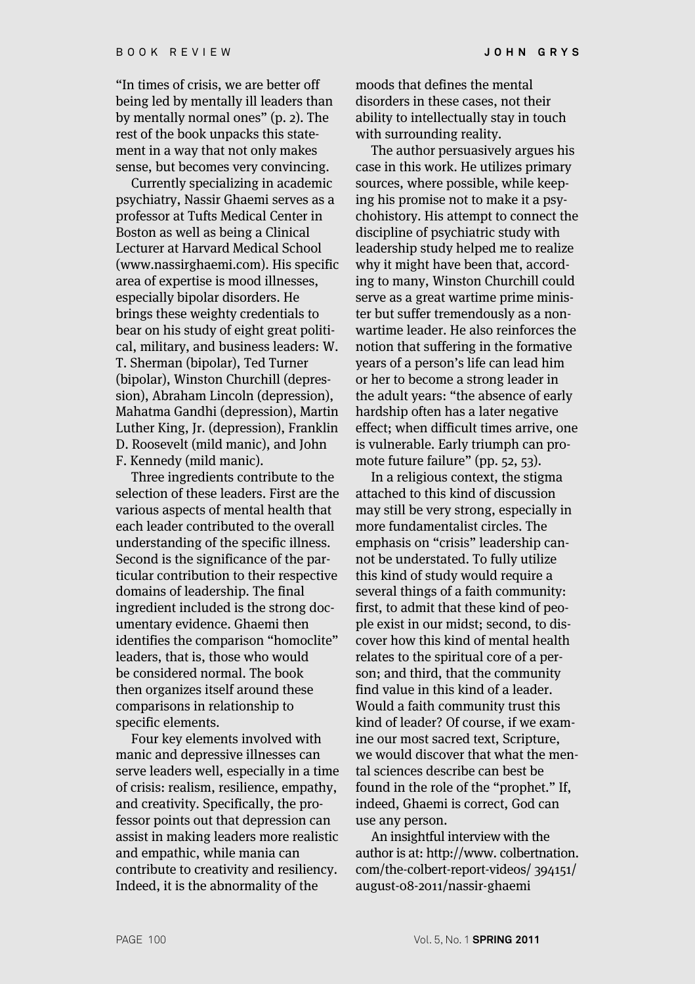"In times of crisis, we are better off being led by mentally ill leaders than by mentally normal ones" (p. 2). The rest of the book unpacks this statement in a way that not only makes sense, but becomes very convincing.

Currently specializing in academic psychiatry, Nassir Ghaemi serves as a professor at Tufts Medical Center in Boston as well as being a Clinical Lecturer at Harvard Medical School (www.nassirghaemi.com). His specific area of expertise is mood illnesses, especially bipolar disorders. He brings these weighty credentials to bear on his study of eight great political, military, and business leaders: W. T. Sherman (bipolar), Ted Turner (bipolar), Winston Churchill (depression), Abraham Lincoln (depression), Mahatma Gandhi (depression), Martin Luther King, Jr. (depression), Franklin D. Roosevelt (mild manic), and John F. Kennedy (mild manic).

Three ingredients contribute to the selection of these leaders. First are the various aspects of mental health that each leader contributed to the overall understanding of the specific illness. Second is the significance of the particular contribution to their respective domains of leadership. The final ingredient included is the strong documentary evidence. Ghaemi then identifies the comparison "homoclite" leaders, that is, those who would be considered normal. The book then organizes itself around these comparisons in relationship to specific elements.

Four key elements involved with manic and depressive illnesses can serve leaders well, especially in a time of crisis: realism, resilience, empathy, and creativity. Specifically, the professor points out that depression can assist in making leaders more realistic and empathic, while mania can contribute to creativity and resiliency. Indeed, it is the abnormality of the

moods that defines the mental disorders in these cases, not their ability to intellectually stay in touch with surrounding reality.

The author persuasively argues his case in this work. He utilizes primary sources, where possible, while keeping his promise not to make it a psychohistory. His attempt to connect the discipline of psychiatric study with leadership study helped me to realize why it might have been that, according to many, Winston Churchill could serve as a great wartime prime minister but suffer tremendously as a nonwartime leader. He also reinforces the notion that suffering in the formative years of a person's life can lead him or her to become a strong leader in the adult years: "the absence of early hardship often has a later negative effect; when difficult times arrive, one is vulnerable. Early triumph can promote future failure" (pp. 52, 53).

In a religious context, the stigma attached to this kind of discussion may still be very strong, especially in more fundamentalist circles. The emphasis on "crisis" leadership cannot be understated. To fully utilize this kind of study would require a several things of a faith community: first, to admit that these kind of people exist in our midst; second, to discover how this kind of mental health relates to the spiritual core of a person; and third, that the community find value in this kind of a leader. Would a faith community trust this kind of leader? Of course, if we examine our most sacred text, Scripture, we would discover that what the mental sciences describe can best be found in the role of the "prophet." If, indeed, Ghaemi is correct, God can use any person.

An insightful interview with the author is at: http://www. colbertnation. com/the-colbert-report-videos/ 394151/ august-08-2011/nassir-ghaemi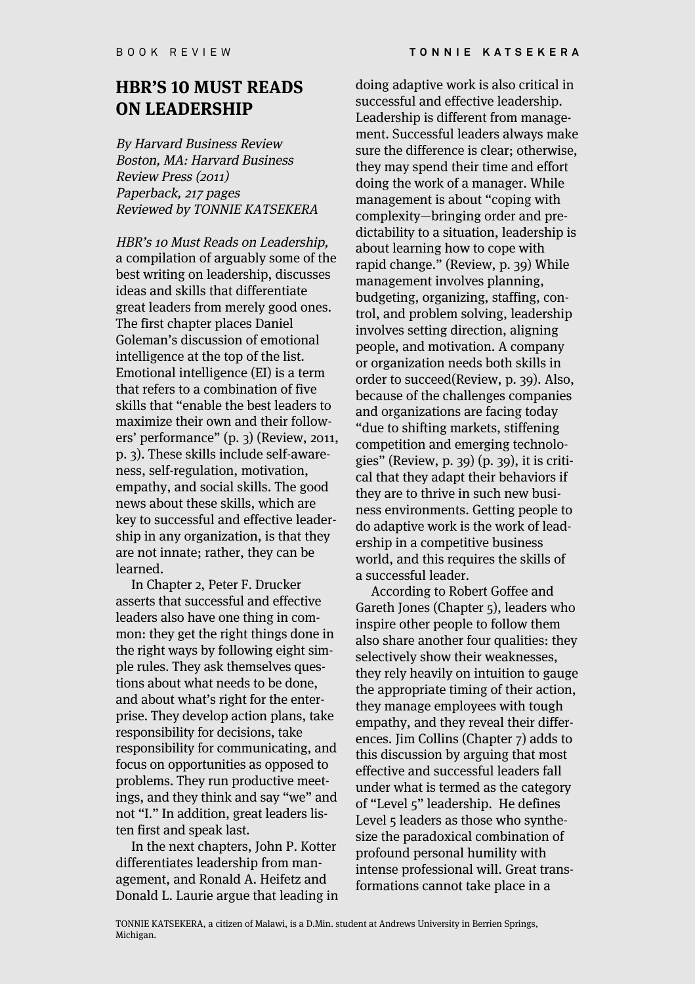### **HBR'S 10 MUST READS ON LEADERSHIP**

By Harvard Business Review Boston, MA: Harvard Business Review Press (2011) Paperback, 217 pages Reviewed by TONNIE KATSEKERA

HBR's 10 Must Reads on Leadership, a compilation of arguably some of the best writing on leadership, discusses ideas and skills that differentiate great leaders from merely good ones. The first chapter places Daniel Goleman's discussion of emotional intelligence at the top of the list. Emotional intelligence (EI) is a term that refers to a combination of five skills that "enable the best leaders to maximize their own and their followers' performance" (p. 3) (Review, 2011, p. 3). These skills include self-awareness, self-regulation, motivation, empathy, and social skills. The good news about these skills, which are key to successful and effective leadership in any organization, is that they are not innate; rather, they can be learned.

In Chapter 2, Peter F. Drucker asserts that successful and effective leaders also have one thing in common: they get the right things done in the right ways by following eight simple rules. They ask themselves questions about what needs to be done, and about what's right for the enterprise. They develop action plans, take responsibility for decisions, take responsibility for communicating, and focus on opportunities as opposed to problems. They run productive meetings, and they think and say "we" and not "I." In addition, great leaders listen first and speak last.

In the next chapters, John P. Kotter differentiates leadership from management, and Ronald A. Heifetz and Donald L. Laurie argue that leading in

doing adaptive work is also critical in successful and effective leadership. Leadership is different from management. Successful leaders always make sure the difference is clear; otherwise, they may spend their time and effort doing the work of a manager. While management is about "coping with complexity—bringing order and predictability to a situation, leadership is about learning how to cope with rapid change." (Review, p. 39) While management involves planning, budgeting, organizing, staffing, control, and problem solving, leadership involves setting direction, aligning people, and motivation. A company or organization needs both skills in order to succeed(Review, p. 39). Also, because of the challenges companies and organizations are facing today "due to shifting markets, stiffening competition and emerging technologies" (Review, p. 39) (p. 39), it is critical that they adapt their behaviors if they are to thrive in such new business environments. Getting people to do adaptive work is the work of leadership in a competitive business world, and this requires the skills of a successful leader.

According to Robert Goffee and Gareth Jones (Chapter 5), leaders who inspire other people to follow them also share another four qualities: they selectively show their weaknesses, they rely heavily on intuition to gauge the appropriate timing of their action, they manage employees with tough empathy, and they reveal their differences. Jim Collins (Chapter 7) adds to this discussion by arguing that most effective and successful leaders fall under what is termed as the category of "Level 5" leadership. He defines Level 5 leaders as those who synthesize the paradoxical combination of profound personal humility with intense professional will. Great transformations cannot take place in a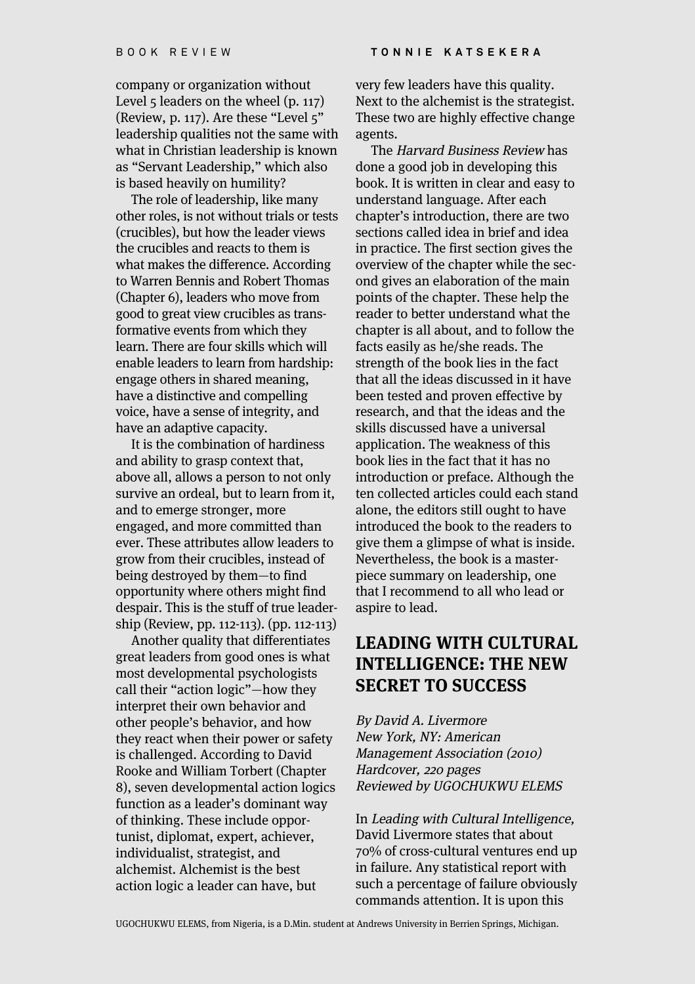company or organization without Level 5 leaders on the wheel (p. 117) (Review, p. 117). Are these "Level 5" leadership qualities not the same with what in Christian leadership is known as "Servant Leadership," which also is based heavily on humility?

The role of leadership, like many other roles, is not without trials or tests (crucibles), but how the leader views the crucibles and reacts to them is what makes the difference. According to Warren Bennis and Robert Thomas (Chapter 6), leaders who move from good to great view crucibles as transformative events from which they learn. There are four skills which will enable leaders to learn from hardship: engage others in shared meaning, have a distinctive and compelling voice, have a sense of integrity, and have an adaptive capacity.

It is the combination of hardiness and ability to grasp context that, above all, allows a person to not only survive an ordeal, but to learn from it, and to emerge stronger, more engaged, and more committed than ever. These attributes allow leaders to grow from their crucibles, instead of being destroyed by them—to find opportunity where others might find despair. This is the stuff of true leadership (Review, pp. 112-113). (pp. 112-113)

Another quality that differentiates great leaders from good ones is what most developmental psychologists call their "action logic"—how they interpret their own behavior and other people's behavior, and how they react when their power or safety is challenged. According to David Rooke and William Torbert (Chapter 8), seven developmental action logics function as a leader's dominant way of thinking. These include opportunist, diplomat, expert, achiever, individualist, strategist, and alchemist. Alchemist is the best action logic a leader can have, but

very few leaders have this quality. Next to the alchemist is the strategist. These two are highly effective change agents.

The Harvard Business Review has done a good job in developing this book. It is written in clear and easy to understand language. After each chapter's introduction, there are two sections called idea in brief and idea in practice. The first section gives the overview of the chapter while the second gives an elaboration of the main points of the chapter. These help the reader to better understand what the chapter is all about, and to follow the facts easily as he/she reads. The strength of the book lies in the fact that all the ideas discussed in it have been tested and proven effective by research, and that the ideas and the skills discussed have a universal application. The weakness of this book lies in the fact that it has no introduction or preface. Although the ten collected articles could each stand alone, the editors still ought to have introduced the book to the readers to give them a glimpse of what is inside. Nevertheless, the book is a masterpiece summary on leadership, one that I recommend to all who lead or aspire to lead.

#### **LEADING WITH CULTURAL INTELLIGENCE: THE NEW SECRET TO SUCCESS**

By David A. Livermore New York, NY: American Management Association (2010) Hardcover, 220 pages Reviewed by UGOCHUKWU ELEMS

In Leading with Cultural Intelligence, David Livermore states that about 70% of cross-cultural ventures end up in failure. Any statistical report with such a percentage of failure obviously commands attention. It is upon this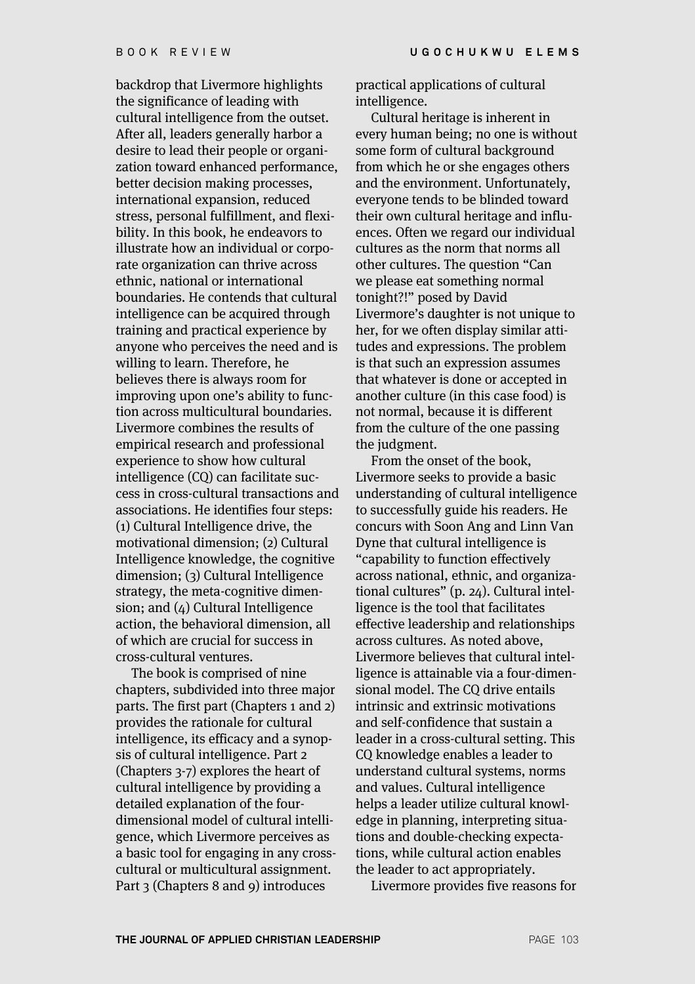backdrop that Livermore highlights the significance of leading with cultural intelligence from the outset. After all, leaders generally harbor a desire to lead their people or organization toward enhanced performance, better decision making processes, international expansion, reduced stress, personal fulfillment, and flexibility. In this book, he endeavors to illustrate how an individual or corporate organization can thrive across ethnic, national or international boundaries. He contends that cultural intelligence can be acquired through training and practical experience by anyone who perceives the need and is willing to learn. Therefore, he believes there is always room for improving upon one's ability to function across multicultural boundaries. Livermore combines the results of empirical research and professional experience to show how cultural intelligence (CQ) can facilitate success in cross-cultural transactions and associations. He identifies four steps: (1) Cultural Intelligence drive, the motivational dimension; (2) Cultural Intelligence knowledge, the cognitive dimension; (3) Cultural Intelligence strategy, the meta-cognitive dimension; and (4) Cultural Intelligence action, the behavioral dimension, all of which are crucial for success in cross-cultural ventures.

The book is comprised of nine chapters, subdivided into three major parts. The first part (Chapters 1 and 2) provides the rationale for cultural intelligence, its efficacy and a synopsis of cultural intelligence. Part 2 (Chapters 3-7) explores the heart of cultural intelligence by providing a detailed explanation of the fourdimensional model of cultural intelligence, which Livermore perceives as a basic tool for engaging in any crosscultural or multicultural assignment. Part 3 (Chapters 8 and 9) introduces

practical applications of cultural intelligence.

Cultural heritage is inherent in every human being; no one is without some form of cultural background from which he or she engages others and the environment. Unfortunately, everyone tends to be blinded toward their own cultural heritage and influences. Often we regard our individual cultures as the norm that norms all other cultures. The question "Can we please eat something normal tonight?!" posed by David Livermore's daughter is not unique to her, for we often display similar attitudes and expressions. The problem is that such an expression assumes that whatever is done or accepted in another culture (in this case food) is not normal, because it is different from the culture of the one passing the judgment.

From the onset of the book, Livermore seeks to provide a basic understanding of cultural intelligence to successfully guide his readers. He concurs with Soon Ang and Linn Van Dyne that cultural intelligence is "capability to function effectively across national, ethnic, and organizational cultures" (p. 24). Cultural intelligence is the tool that facilitates effective leadership and relationships across cultures. As noted above, Livermore believes that cultural intelligence is attainable via a four-dimensional model. The CO drive entails intrinsic and extrinsic motivations and self-confidence that sustain a leader in a cross-cultural setting. This CQ knowledge enables a leader to understand cultural systems, norms and values. Cultural intelligence helps a leader utilize cultural knowledge in planning, interpreting situations and double-checking expectations, while cultural action enables the leader to act appropriately.

Livermore provides five reasons for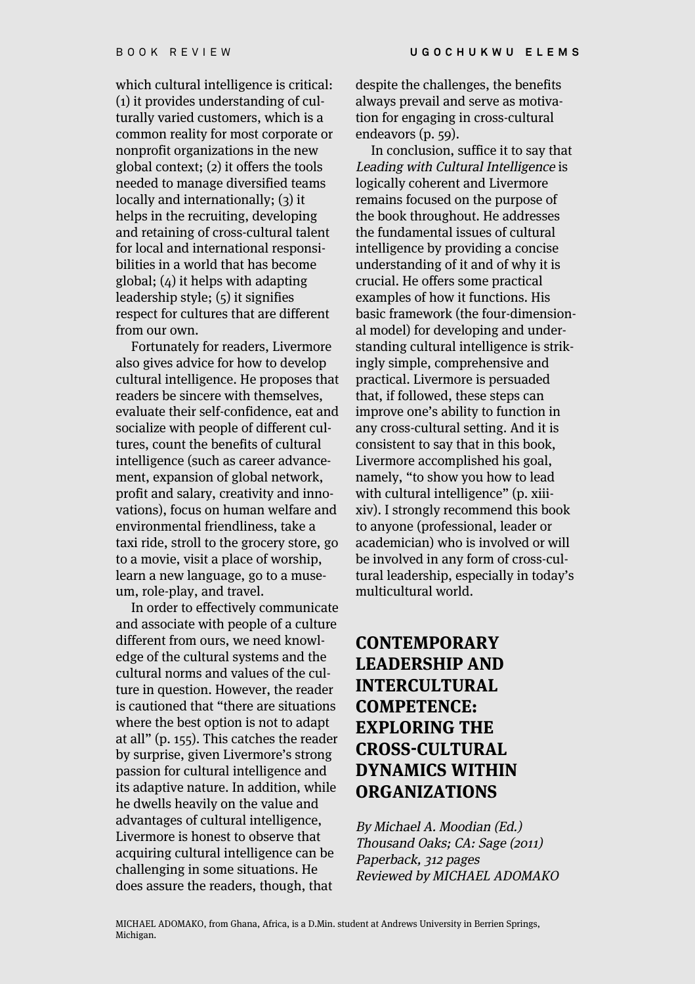which cultural intelligence is critical: (1) it provides understanding of culturally varied customers, which is a common reality for most corporate or nonprofit organizations in the new global context; (2) it offers the tools needed to manage diversified teams locally and internationally; (3) it helps in the recruiting, developing and retaining of cross-cultural talent for local and international responsibilities in a world that has become global; (4) it helps with adapting leadership style; (5) it signifies respect for cultures that are different from our own.

Fortunately for readers, Livermore also gives advice for how to develop cultural intelligence. He proposes that readers be sincere with themselves, evaluate their self-confidence, eat and socialize with people of different cultures, count the benefits of cultural intelligence (such as career advancement, expansion of global network, profit and salary, creativity and innovations), focus on human welfare and environmental friendliness, take a taxi ride, stroll to the grocery store, go to a movie, visit a place of worship, learn a new language, go to a museum, role-play, and travel.

In order to effectively communicate and associate with people of a culture different from ours, we need knowledge of the cultural systems and the cultural norms and values of the culture in question. However, the reader is cautioned that "there are situations where the best option is not to adapt at all" (p. 155). This catches the reader by surprise, given Livermore's strong passion for cultural intelligence and its adaptive nature. In addition, while he dwells heavily on the value and advantages of cultural intelligence, Livermore is honest to observe that acquiring cultural intelligence can be challenging in some situations. He does assure the readers, though, that

despite the challenges, the benefits always prevail and serve as motivation for engaging in cross-cultural endeavors (p. 59).

In conclusion, suffice it to say that Leading with Cultural Intelligence is logically coherent and Livermore remains focused on the purpose of the book throughout. He addresses the fundamental issues of cultural intelligence by providing a concise understanding of it and of why it is crucial. He offers some practical examples of how it functions. His basic framework (the four-dimensional model) for developing and understanding cultural intelligence is strikingly simple, comprehensive and practical. Livermore is persuaded that, if followed, these steps can improve one's ability to function in any cross-cultural setting. And it is consistent to say that in this book, Livermore accomplished his goal, namely, "to show you how to lead with cultural intelligence" (p. xiiixiv). I strongly recommend this book to anyone (professional, leader or academician) who is involved or will be involved in any form of cross-cultural leadership, especially in today's multicultural world.

# **CONTEMPORARY LEADERSHIP AND INTERCULTURAL COMPETENCE: EXPLORING THE CROSS-CULTURAL DYNAMICS WITHIN ORGANIZATIONS**

By Michael A. Moodian (Ed.) Thousand Oaks; CA: Sage (2011) Paperback, 312 pages Reviewed by MICHAEL ADOMAKO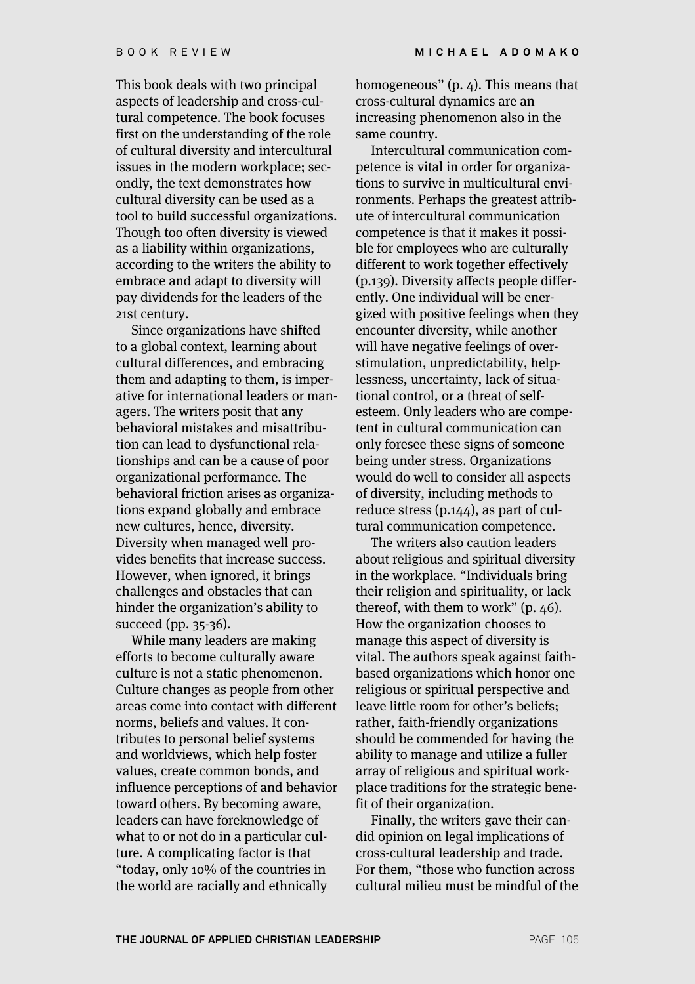This book deals with two principal aspects of leadership and cross-cultural competence. The book focuses first on the understanding of the role of cultural diversity and intercultural issues in the modern workplace; secondly, the text demonstrates how cultural diversity can be used as a tool to build successful organizations. Though too often diversity is viewed as a liability within organizations, according to the writers the ability to embrace and adapt to diversity will pay dividends for the leaders of the 21st century.

Since organizations have shifted to a global context, learning about cultural differences, and embracing them and adapting to them, is imperative for international leaders or managers. The writers posit that any behavioral mistakes and misattribution can lead to dysfunctional relationships and can be a cause of poor organizational performance. The behavioral friction arises as organizations expand globally and embrace new cultures, hence, diversity. Diversity when managed well provides benefits that increase success. However, when ignored, it brings challenges and obstacles that can hinder the organization's ability to succeed (pp. 35-36).

While many leaders are making efforts to become culturally aware culture is not a static phenomenon. Culture changes as people from other areas come into contact with different norms, beliefs and values. It contributes to personal belief systems and worldviews, which help foster values, create common bonds, and influence perceptions of and behavior toward others. By becoming aware, leaders can have foreknowledge of what to or not do in a particular culture. A complicating factor is that "today, only 10% of the countries in the world are racially and ethnically

homogeneous" (p. 4). This means that cross-cultural dynamics are an increasing phenomenon also in the same country.

Intercultural communication competence is vital in order for organizations to survive in multicultural environments. Perhaps the greatest attribute of intercultural communication competence is that it makes it possible for employees who are culturally different to work together effectively (p.139). Diversity affects people differently. One individual will be energized with positive feelings when they encounter diversity, while another will have negative feelings of overstimulation, unpredictability, helplessness, uncertainty, lack of situational control, or a threat of selfesteem. Only leaders who are competent in cultural communication can only foresee these signs of someone being under stress. Organizations would do well to consider all aspects of diversity, including methods to reduce stress (p.144), as part of cultural communication competence.

The writers also caution leaders about religious and spiritual diversity in the workplace. "Individuals bring their religion and spirituality, or lack thereof, with them to work" (p. 46). How the organization chooses to manage this aspect of diversity is vital. The authors speak against faithbased organizations which honor one religious or spiritual perspective and leave little room for other's beliefs; rather, faith-friendly organizations should be commended for having the ability to manage and utilize a fuller array of religious and spiritual workplace traditions for the strategic benefit of their organization.

Finally, the writers gave their candid opinion on legal implications of cross-cultural leadership and trade. For them, "those who function across cultural milieu must be mindful of the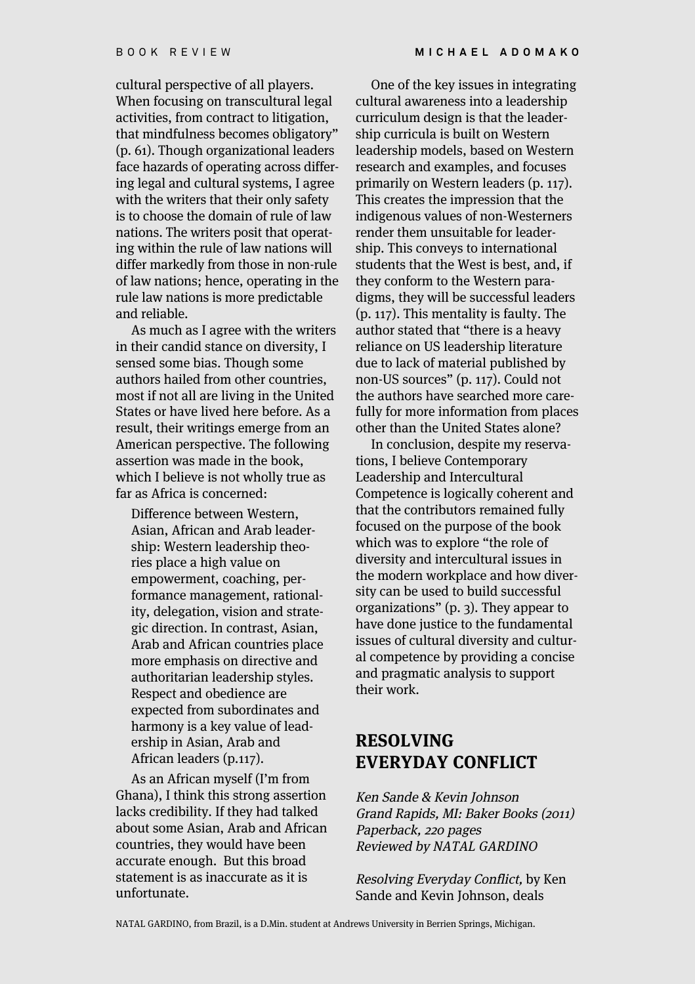cultural perspective of all players. When focusing on transcultural legal activities, from contract to litigation, that mindfulness becomes obligatory" (p. 61). Though organizational leaders face hazards of operating across differing legal and cultural systems, I agree with the writers that their only safety is to choose the domain of rule of law nations. The writers posit that operating within the rule of law nations will differ markedly from those in non-rule of law nations; hence, operating in the rule law nations is more predictable and reliable.

As much as I agree with the writers in their candid stance on diversity, I sensed some bias. Though some authors hailed from other countries, most if not all are living in the United States or have lived here before. As a result, their writings emerge from an American perspective. The following assertion was made in the book, which I believe is not wholly true as far as Africa is concerned:

Difference between Western, Asian, African and Arab leadership: Western leadership theories place a high value on empowerment, coaching, performance management, rationality, delegation, vision and strategic direction. In contrast, Asian, Arab and African countries place more emphasis on directive and authoritarian leadership styles. Respect and obedience are expected from subordinates and harmony is a key value of leadership in Asian, Arab and African leaders (p.117).

As an African myself (I'm from Ghana), I think this strong assertion lacks credibility. If they had talked about some Asian, Arab and African countries, they would have been accurate enough. But this broad statement is as inaccurate as it is unfortunate.

One of the key issues in integrating cultural awareness into a leadership curriculum design is that the leadership curricula is built on Western leadership models, based on Western research and examples, and focuses primarily on Western leaders (p. 117). This creates the impression that the indigenous values of non-Westerners render them unsuitable for leadership. This conveys to international students that the West is best, and, if they conform to the Western paradigms, they will be successful leaders (p. 117). This mentality is faulty. The author stated that "there is a heavy reliance on US leadership literature due to lack of material published by non-US sources" (p. 117). Could not the authors have searched more carefully for more information from places other than the United States alone?

In conclusion, despite my reservations, I believe Contemporary Leadership and Intercultural Competence is logically coherent and that the contributors remained fully focused on the purpose of the book which was to explore "the role of diversity and intercultural issues in the modern workplace and how diversity can be used to build successful organizations" (p. 3). They appear to have done justice to the fundamental issues of cultural diversity and cultural competence by providing a concise and pragmatic analysis to support their work.

#### **RESOLVING EVERYDAY CONFLICT**

Ken Sande & Kevin Johnson Grand Rapids, MI: Baker Books (2011) Paperback, 220 pages Reviewed by NATAL GARDINO

Resolving Everyday Conflict, by Ken Sande and Kevin Johnson, deals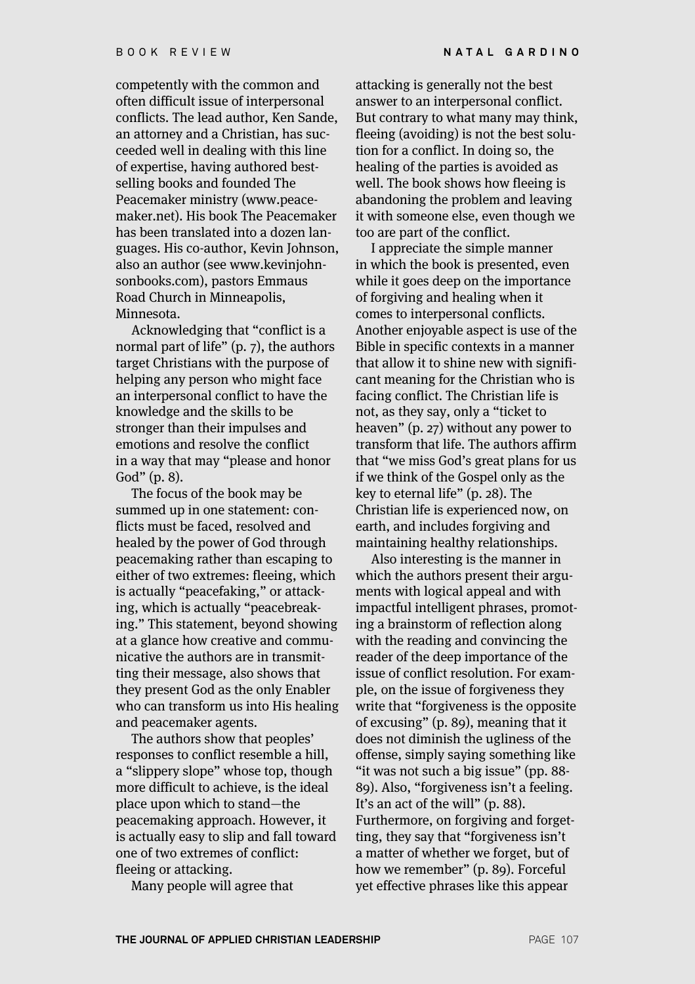competently with the common and often difficult issue of interpersonal conflicts. The lead author, Ken Sande, an attorney and a Christian, has succeeded well in dealing with this line of expertise, having authored bestselling books and founded The Peacemaker ministry (www.peacemaker.net). His book The Peacemaker has been translated into a dozen languages. His co-author, Kevin Johnson, also an author (see www.kevinjohnsonbooks.com), pastors Emmaus Road Church in Minneapolis, Minnesota.

Acknowledging that "conflict is a normal part of life" (p. 7), the authors target Christians with the purpose of helping any person who might face an interpersonal conflict to have the knowledge and the skills to be stronger than their impulses and emotions and resolve the conflict in a way that may "please and honor God" (p. 8).

The focus of the book may be summed up in one statement: conflicts must be faced, resolved and healed by the power of God through peacemaking rather than escaping to either of two extremes: fleeing, which is actually "peacefaking," or attacking, which is actually "peacebreaking." This statement, beyond showing at a glance how creative and communicative the authors are in transmitting their message, also shows that they present God as the only Enabler who can transform us into His healing and peacemaker agents.

The authors show that peoples' responses to conflict resemble a hill, a "slippery slope" whose top, though more difficult to achieve, is the ideal place upon which to stand—the peacemaking approach. However, it is actually easy to slip and fall toward one of two extremes of conflict: fleeing or attacking.

Many people will agree that

attacking is generally not the best answer to an interpersonal conflict. But contrary to what many may think, fleeing (avoiding) is not the best solution for a conflict. In doing so, the healing of the parties is avoided as well. The book shows how fleeing is abandoning the problem and leaving it with someone else, even though we too are part of the conflict.

I appreciate the simple manner in which the book is presented, even while it goes deep on the importance of forgiving and healing when it comes to interpersonal conflicts. Another enjoyable aspect is use of the Bible in specific contexts in a manner that allow it to shine new with significant meaning for the Christian who is facing conflict. The Christian life is not, as they say, only a "ticket to heaven" (p. 27) without any power to transform that life. The authors affirm that "we miss God's great plans for us if we think of the Gospel only as the key to eternal life" (p. 28). The Christian life is experienced now, on earth, and includes forgiving and maintaining healthy relationships.

Also interesting is the manner in which the authors present their arguments with logical appeal and with impactful intelligent phrases, promoting a brainstorm of reflection along with the reading and convincing the reader of the deep importance of the issue of conflict resolution. For example, on the issue of forgiveness they write that "forgiveness is the opposite of excusing" (p. 89), meaning that it does not diminish the ugliness of the offense, simply saying something like "it was not such a big issue" (pp. 88- 89). Also, "forgiveness isn't a feeling. It's an act of the will" (p. 88). Furthermore, on forgiving and forgetting, they say that "forgiveness isn't a matter of whether we forget, but of how we remember" (p. 89). Forceful yet effective phrases like this appear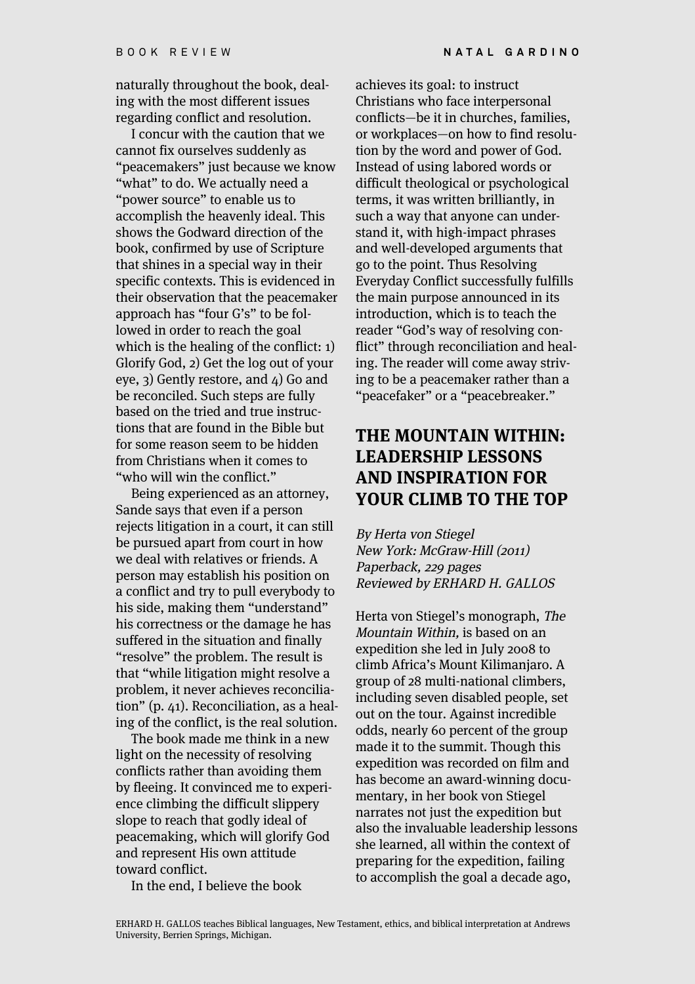naturally throughout the book, dealing with the most different issues regarding conflict and resolution.

I concur with the caution that we cannot fix ourselves suddenly as "peacemakers" just because we know "what" to do. We actually need a "power source" to enable us to accomplish the heavenly ideal. This shows the Godward direction of the book, confirmed by use of Scripture that shines in a special way in their specific contexts. This is evidenced in their observation that the peacemaker approach has "four G's" to be followed in order to reach the goal which is the healing of the conflict: 1) Glorify God, 2) Get the log out of your eye, 3) Gently restore, and 4) Go and be reconciled. Such steps are fully based on the tried and true instructions that are found in the Bible but for some reason seem to be hidden from Christians when it comes to "who will win the conflict."

Being experienced as an attorney, Sande says that even if a person rejects litigation in a court, it can still be pursued apart from court in how we deal with relatives or friends. A person may establish his position on a conflict and try to pull everybody to his side, making them "understand" his correctness or the damage he has suffered in the situation and finally "resolve" the problem. The result is that "while litigation might resolve a problem, it never achieves reconciliation" (p. 41). Reconciliation, as a healing of the conflict, is the real solution.

The book made me think in a new light on the necessity of resolving conflicts rather than avoiding them by fleeing. It convinced me to experience climbing the difficult slippery slope to reach that godly ideal of peacemaking, which will glorify God and represent His own attitude toward conflict.

In the end, I believe the book

achieves its goal: to instruct Christians who face interpersonal conflicts—be it in churches, families, or workplaces—on how to find resolution by the word and power of God. Instead of using labored words or difficult theological or psychological terms, it was written brilliantly, in such a way that anyone can understand it, with high-impact phrases and well-developed arguments that go to the point. Thus Resolving Everyday Conflict successfully fulfills the main purpose announced in its introduction, which is to teach the reader "God's way of resolving conflict" through reconciliation and healing. The reader will come away striving to be a peacemaker rather than a "peacefaker" or a "peacebreaker."

#### **THE MOUNTAIN WITHIN: LEADERSHIP LESSONS AND INSPIRATION FOR YOUR CLIMB TO THE TOP**

By Herta von Stiegel New York: McGraw-Hill (2011) Paperback, 229 pages Reviewed by ERHARD H. GALLOS

Herta von Stiegel's monograph, The Mountain Within, is based on an expedition she led in July 2008 to climb Africa's Mount Kilimanjaro. A group of 28 multi-national climbers, including seven disabled people, set out on the tour. Against incredible odds, nearly 60 percent of the group made it to the summit. Though this expedition was recorded on film and has become an award-winning documentary, in her book von Stiegel narrates not just the expedition but also the invaluable leadership lessons she learned, all within the context of preparing for the expedition, failing to accomplish the goal a decade ago,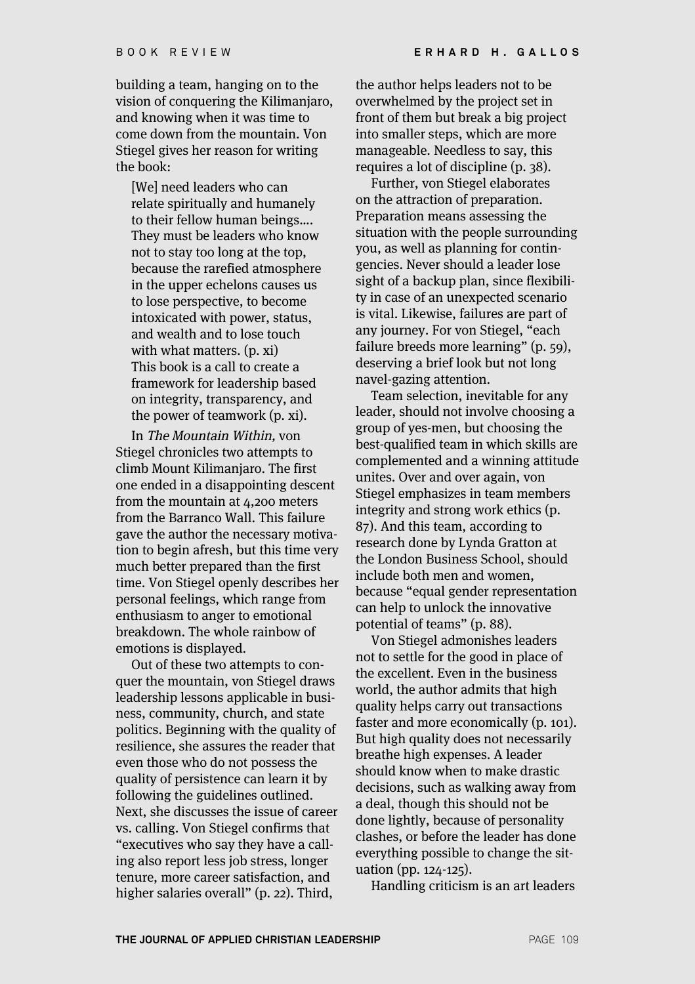building a team, hanging on to the vision of conquering the Kilimanjaro, and knowing when it was time to come down from the mountain. Von Stiegel gives her reason for writing the book:

[We] need leaders who can relate spiritually and humanely to their fellow human beings…. They must be leaders who know not to stay too long at the top, because the rarefied atmosphere in the upper echelons causes us to lose perspective, to become intoxicated with power, status, and wealth and to lose touch with what matters. (p. xi) This book is a call to create a framework for leadership based on integrity, transparency, and the power of teamwork (p. xi).

In The Mountain Within, von Stiegel chronicles two attempts to climb Mount Kilimanjaro. The first one ended in a disappointing descent from the mountain at 4,200 meters from the Barranco Wall. This failure gave the author the necessary motivation to begin afresh, but this time very much better prepared than the first time. Von Stiegel openly describes her personal feelings, which range from enthusiasm to anger to emotional breakdown. The whole rainbow of emotions is displayed.

Out of these two attempts to conquer the mountain, von Stiegel draws leadership lessons applicable in business, community, church, and state politics. Beginning with the quality of resilience, she assures the reader that even those who do not possess the quality of persistence can learn it by following the guidelines outlined. Next, she discusses the issue of career vs. calling. Von Stiegel confirms that "executives who say they have a calling also report less job stress, longer tenure, more career satisfaction, and higher salaries overall" (p. 22). Third,

the author helps leaders not to be overwhelmed by the project set in front of them but break a big project into smaller steps, which are more manageable. Needless to say, this requires a lot of discipline (p. 38).

Further, von Stiegel elaborates on the attraction of preparation. Preparation means assessing the situation with the people surrounding you, as well as planning for contingencies. Never should a leader lose sight of a backup plan, since flexibility in case of an unexpected scenario is vital. Likewise, failures are part of any journey. For von Stiegel, "each failure breeds more learning" (p. 59), deserving a brief look but not long navel-gazing attention.

Team selection, inevitable for any leader, should not involve choosing a group of yes-men, but choosing the best-qualified team in which skills are complemented and a winning attitude unites. Over and over again, von Stiegel emphasizes in team members integrity and strong work ethics (p. 87). And this team, according to research done by Lynda Gratton at the London Business School, should include both men and women, because "equal gender representation can help to unlock the innovative potential of teams" (p. 88).

Von Stiegel admonishes leaders not to settle for the good in place of the excellent. Even in the business world, the author admits that high quality helps carry out transactions faster and more economically (p. 101). But high quality does not necessarily breathe high expenses. A leader should know when to make drastic decisions, such as walking away from a deal, though this should not be done lightly, because of personality clashes, or before the leader has done everything possible to change the situation (pp. 124-125).

Handling criticism is an art leaders